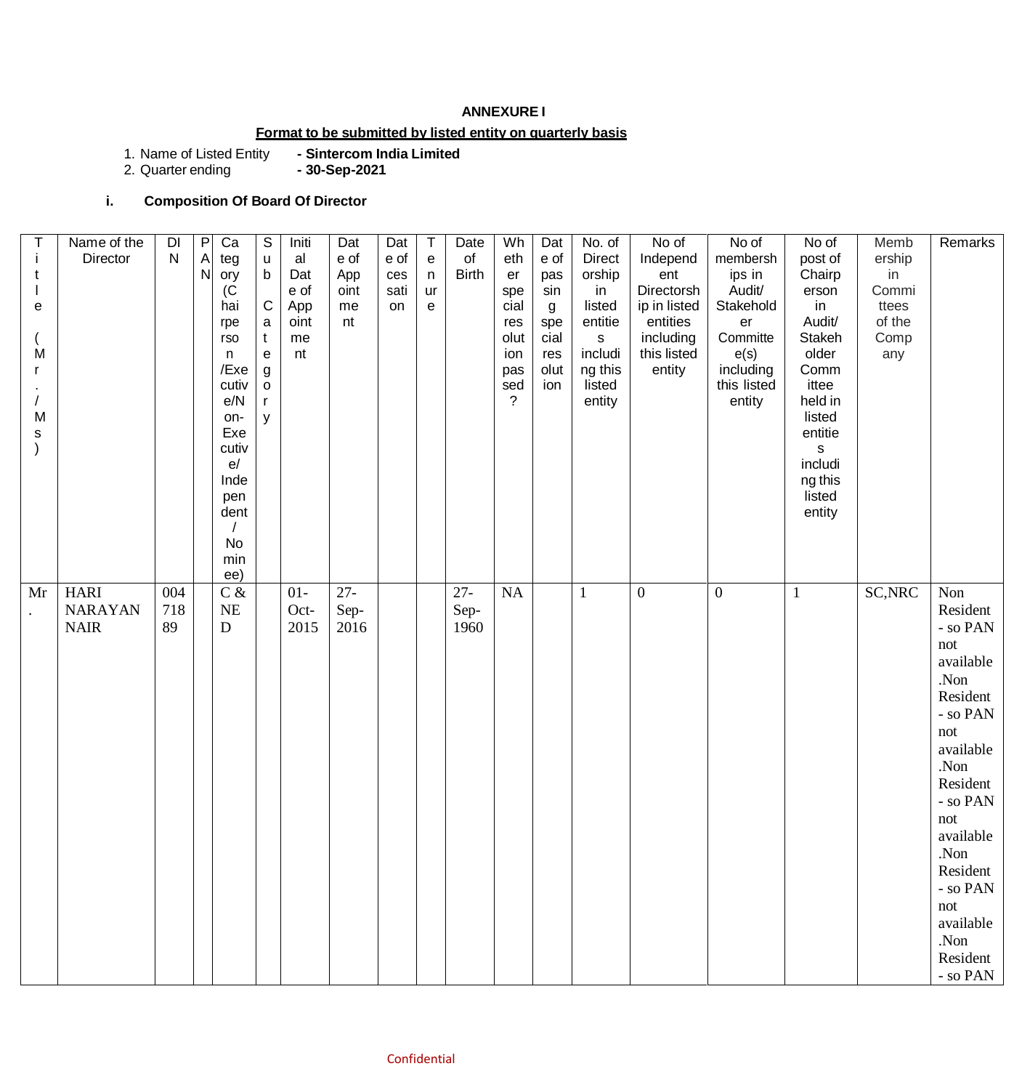#### **ANNEXURE I**

# **Format to be submitted by listed entity on quarterly basis**

1. Name of Listed Entity **- Sintercom India Limited** 1. Name of Listed Entity<br>2. Quarter ending

# **i. Composition Of Board Of Director**

| Ť<br>t<br>е<br>M<br>r<br>M<br>s | Name of the<br>Director                      | DI<br>$\mathsf{N}$ | $\overline{P}$<br>$\mathsf{A}$<br>N | Ca<br>teg<br>ory<br>(C)<br>hai<br>rpe<br>rso<br>n<br>/Exe<br>cutiv<br>e/N<br>on-<br>Exe<br>cutiv<br>e/<br>Inde<br>pen<br>dent<br>No<br>min<br>ee) | $\overline{\mathcal{S}}$<br>u<br>$\mathsf b$<br>${\bf C}$<br>$\mathsf{a}$<br>$\mathbf{t}$<br>${\bf e}$<br>$\boldsymbol{g}$<br>$\mathsf{o}\xspace$<br>y | Initi<br>al<br>Dat<br>e of<br>App<br>oint<br>me<br>nt | Dat<br>e of<br>App<br>oint<br>me<br>nt | Dat<br>e of<br>ces<br>sati<br>on | $\sf T$<br>${\bf e}$<br>$\mathsf n$<br>ur<br>e | Date<br>of<br><b>Birth</b> | Wh<br>eth<br>er<br>spe<br>cial<br>res<br>olut<br>ion<br>pas<br>sed<br>$\gamma$ | Dat<br>e of<br>pas<br>sin<br>g<br>spe<br>cial<br>res<br>olut<br>ion | No. of<br>Direct<br>orship<br>in<br>listed<br>entitie<br>$\mathbf S$<br>includi<br>ng this<br>listed<br>entity | No of<br>Independ<br>ent<br>Directorsh<br>ip in listed<br>entities<br>including<br>this listed<br>entity | No of<br>membersh<br>ips in<br>Audit/<br>Stakehold<br>er<br>Committe<br>e(s)<br>including<br>this listed<br>entity | No of<br>post of<br>Chairp<br>erson<br>in<br>Audit/<br>Stakeh<br>older<br>Comm<br>ittee<br>held in<br>listed<br>entitie<br>S<br>includi<br>ng this<br>listed<br>entity | Memb<br>ership<br>in<br>Commi<br>ttees<br>of the<br>Comp<br>any | Remarks                                                                                                                                                                                                                                              |
|---------------------------------|----------------------------------------------|--------------------|-------------------------------------|---------------------------------------------------------------------------------------------------------------------------------------------------|--------------------------------------------------------------------------------------------------------------------------------------------------------|-------------------------------------------------------|----------------------------------------|----------------------------------|------------------------------------------------|----------------------------|--------------------------------------------------------------------------------|---------------------------------------------------------------------|----------------------------------------------------------------------------------------------------------------|----------------------------------------------------------------------------------------------------------|--------------------------------------------------------------------------------------------------------------------|------------------------------------------------------------------------------------------------------------------------------------------------------------------------|-----------------------------------------------------------------|------------------------------------------------------------------------------------------------------------------------------------------------------------------------------------------------------------------------------------------------------|
| Mr                              | <b>HARI</b><br><b>NARAYAN</b><br><b>NAIR</b> | 004<br>718<br>89   |                                     | $C$ &<br><b>NE</b><br>D                                                                                                                           |                                                                                                                                                        | $01-$<br>Oct-<br>2015                                 | $27 -$<br>Sep-<br>2016                 |                                  |                                                | $27 -$<br>Sep-<br>1960     | NA                                                                             |                                                                     | $\mathbf{1}$                                                                                                   | $\mathbf{0}$                                                                                             | $\boldsymbol{0}$                                                                                                   | $\mathbf{1}$                                                                                                                                                           | SC, NRC                                                         | Non<br>Resident<br>- so PAN<br>not<br>available<br>.Non<br>Resident<br>- so PAN<br>not<br>available<br>.Non<br>Resident<br>- so PAN<br>not<br>available<br>Non.<br>Resident<br>- so PAN<br>not<br>available<br>.Non<br>Resident<br>- so $\text{PAN}$ |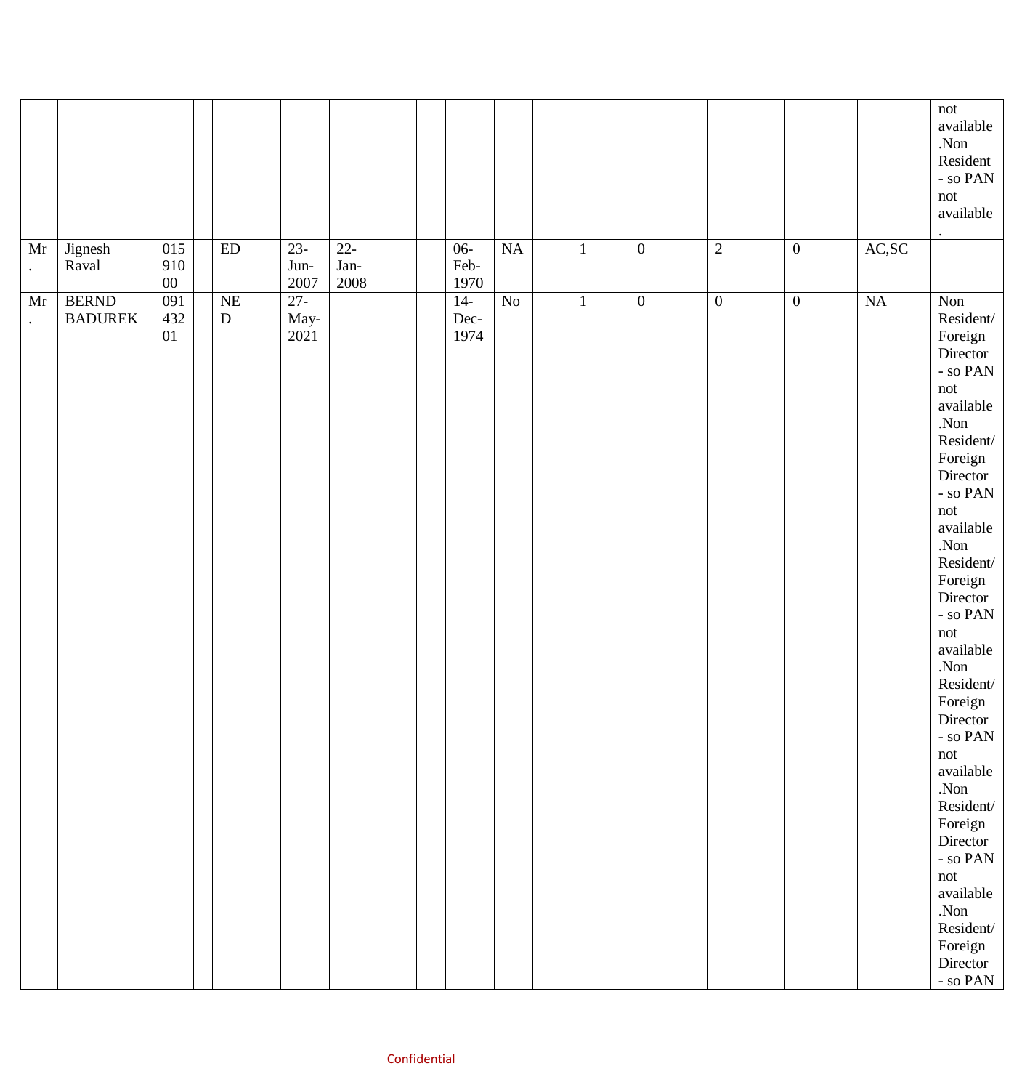|                 |                                |                      |                        |                        |                        |  |                        |                |              |                  |                  |                  |                             | not<br>available<br>.Non<br>Resident<br>- so $\ensuremath{\mathsf{PAN}}$<br>not<br>available                                                                                                                                                                                                                                                                                                                                                                                                                               |
|-----------------|--------------------------------|----------------------|------------------------|------------------------|------------------------|--|------------------------|----------------|--------------|------------------|------------------|------------------|-----------------------------|----------------------------------------------------------------------------------------------------------------------------------------------------------------------------------------------------------------------------------------------------------------------------------------------------------------------------------------------------------------------------------------------------------------------------------------------------------------------------------------------------------------------------|
| Mr<br>$\bullet$ | Jignesh<br>Raval               | 015<br>910<br>$00\,$ | ED                     | $23-$<br>Jun-<br>2007  | $22 -$<br>Jan-<br>2008 |  | $06 -$<br>Feb-<br>1970 | NA             | $\mathbf{1}$ | $\boldsymbol{0}$ | $\overline{2}$   | $\boldsymbol{0}$ | $\mathbf{AC},\!\mathbf{SC}$ |                                                                                                                                                                                                                                                                                                                                                                                                                                                                                                                            |
| Mr<br>$\cdot$   | <b>BERND</b><br><b>BADUREK</b> | 091<br>432<br>01     | <b>NE</b><br>${\bf D}$ | $27 -$<br>May-<br>2021 |                        |  | $14-$<br>Dec-<br>1974  | N <sub>o</sub> | $\mathbf{1}$ | $\overline{0}$   | $\boldsymbol{0}$ | $\boldsymbol{0}$ | $\overline{\text{NA}}$      | Non<br>Resident/<br>Foreign<br>Director<br>- so $\text{PAN}$<br>not<br>available<br>.Non<br>Resident/<br>Foreign<br>Director<br>- so $\text{PAN}$<br>not<br>available<br>.Non<br>Resident/<br>Foreign<br>Director<br>- so $\ensuremath{\mathsf{PAN}}$<br>not<br>available<br>.Non<br>Resident/<br>Foreign<br>Director<br>- so $\textsf{PAN}$<br>not<br>available<br>.Non<br>Resident/<br>Foreign<br>Director<br>- so $\text{PAN}$<br>not<br>available<br>.Non<br>Resident/<br>Foreign<br>Director<br>- so $\textsf{PAN}^-$ |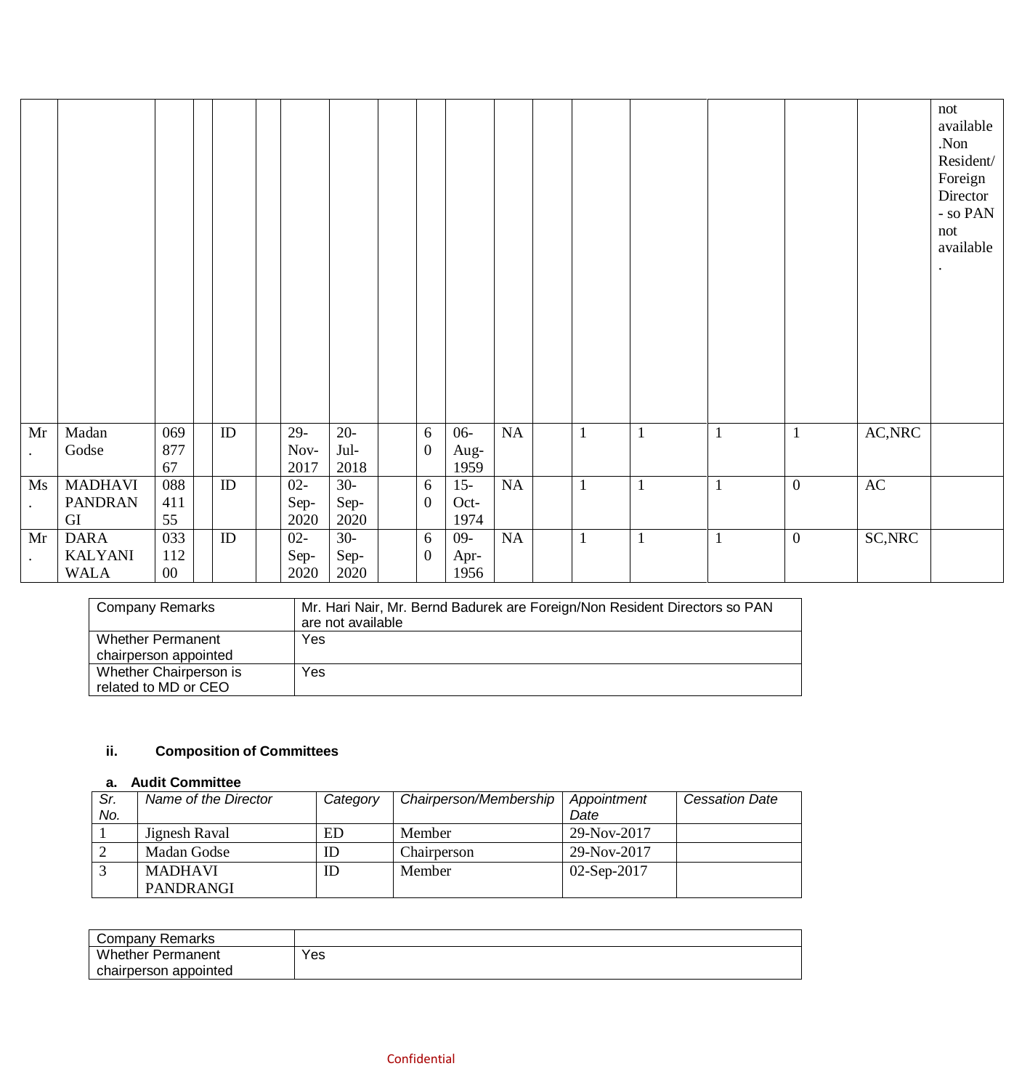|                          |                            |            |    |              |              |                  |              |           |              |  |                  |                                | not<br>available<br>.Non<br>Resident/<br>Foreign<br>Director<br>- so $\text{PAN}$<br>not<br>available<br>٠ |
|--------------------------|----------------------------|------------|----|--------------|--------------|------------------|--------------|-----------|--------------|--|------------------|--------------------------------|------------------------------------------------------------------------------------------------------------|
| Mr                       | Madan                      | 069        | ID | $29-$        | $20 -$       | 6                | $06 -$       | NA        |              |  |                  | $\mathsf{AC},\!\!\mathsf{NRC}$ |                                                                                                            |
| $\bullet$                | Godse                      | 877        |    | Nov-         | Jul-         | $\boldsymbol{0}$ | Aug-         |           |              |  |                  |                                |                                                                                                            |
|                          |                            | 67         |    | 2017         | 2018         |                  | 1959         |           |              |  |                  |                                |                                                                                                            |
| $\overline{Ms}$          | <b>MADHAVI</b>             | 088<br>411 | ID | $02 -$       | $30-$        | 6                | $15 -$       | <b>NA</b> |              |  | $\overline{0}$   | $\rm AC$                       |                                                                                                            |
| $\bullet$                | <b>PANDRAN</b><br>$\rm GI$ | 55         |    | Sep-<br>2020 | Sep-<br>2020 | $\boldsymbol{0}$ | Oct-<br>1974 |           |              |  |                  |                                |                                                                                                            |
| Mr                       | <b>DARA</b>                | 033        | ID | $02 -$       | $30-$        | 6                | $09 -$       | NA        | $\mathbf{1}$ |  | $\boldsymbol{0}$ | SC, NRC                        |                                                                                                            |
|                          | <b>KALYANI</b>             | 112        |    | Sep-         | Sep-         | $\overline{0}$   | Apr-         |           |              |  |                  |                                |                                                                                                            |
| $\bullet$<br><b>WALA</b> |                            |            |    |              |              |                  |              |           |              |  |                  |                                |                                                                                                            |

| <b>Company Remarks</b>                            | Mr. Hari Nair, Mr. Bernd Badurek are Foreign/Non Resident Directors so PAN<br>are not available |
|---------------------------------------------------|-------------------------------------------------------------------------------------------------|
| <b>Whether Permanent</b><br>chairperson appointed | Yes                                                                                             |
| Whether Chairperson is<br>related to MD or CEO    | Yes                                                                                             |

# **ii. Composition of Committees**

### **a. Audit Committee**

| Sr. | Name of the Director | Category | Chairperson/Membership | Appointment   | <b>Cessation Date</b> |
|-----|----------------------|----------|------------------------|---------------|-----------------------|
| No. |                      |          |                        | Date          |                       |
|     | Jignesh Raval        | ED       | Member                 | 29-Nov-2017   |                       |
|     | Madan Godse          | ID       | Chairperson            | 29-Nov-2017   |                       |
|     | <b>MADHAVI</b>       | ID       | Member                 | $02-Sep-2017$ |                       |
|     | PANDRANGI            |          |                        |               |                       |

| Company Remarks          |     |
|--------------------------|-----|
| <b>Whether Permanent</b> | Yes |
| chairperson appointed    |     |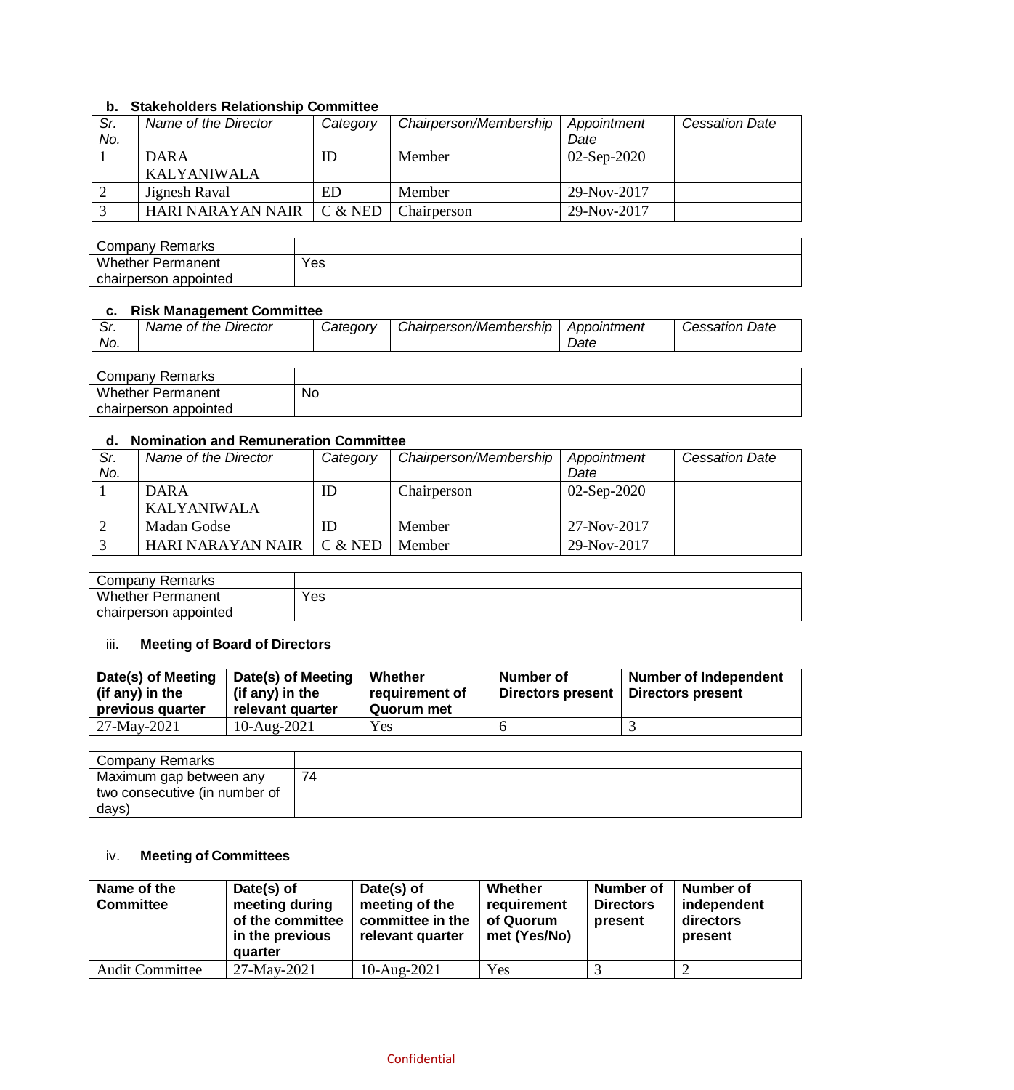### **b. Stakeholders Relationship Committee**

| Sr.<br>No. | Name of the Director              | Category  | Chairperson/Membership | Appointment<br>Date | <b>Cessation Date</b> |
|------------|-----------------------------------|-----------|------------------------|---------------------|-----------------------|
|            | <b>DARA</b><br><b>KALYANIWALA</b> | ID        | Member                 | $02-Sep-2020$       |                       |
|            | Jignesh Raval                     | ED        | Member                 | 29-Nov-2017         |                       |
|            | HARI NARAYAN NAIR                 | $C &$ NED | Chairperson            | 29-Nov-2017         |                       |

| Company Remarks          |     |
|--------------------------|-----|
| <b>Whether Permanent</b> | Yes |
| chairperson appointed    |     |

### **c. Risk Management Committee**

| Company Remarks          |    |
|--------------------------|----|
| <b>Whether Permanent</b> | No |
| chairperson appointed    |    |

### **d. Nomination and Remuneration Committee**

| Sr. | Name of the Director | Category | Chairperson/Membership | Appointment   | <b>Cessation Date</b> |  |  |
|-----|----------------------|----------|------------------------|---------------|-----------------------|--|--|
| No. |                      |          |                        | Date          |                       |  |  |
|     | DAR A                | ID       | Chairperson            | $02-Sep-2020$ |                       |  |  |
|     | KALYANIWALA          |          |                        |               |                       |  |  |
|     | Madan Godse          | ID       | Member                 | 27-Nov-2017   |                       |  |  |
|     | HARI NARAYAN NAIR    | C & NED  | Member                 | 29-Nov-2017   |                       |  |  |

| Company Remarks          |     |
|--------------------------|-----|
| <b>Whether Permanent</b> | Yes |
| appointed<br>chairperson |     |

## iii. **Meeting of Board of Directors**

| Date(s) of Meeting<br>(if any) in the<br>previous quarter | Date(s) of Meeting<br>(if any) in the<br>relevant quarter | Whether<br>requirement of<br>Quorum met | Number of<br>Directors present | <b>Number of Independent</b><br>Directors present |
|-----------------------------------------------------------|-----------------------------------------------------------|-----------------------------------------|--------------------------------|---------------------------------------------------|
| $127-May-2021$                                            | 10-Aug-2021                                               | Yes                                     |                                |                                                   |

| <b>Company Remarks</b>                                   |    |
|----------------------------------------------------------|----|
| Maximum gap between any<br>two consecutive (in number of | 74 |
| days)                                                    |    |

## iv. **Meeting of Committees**

| Name of the<br><b>Committee</b> | Date(s) of<br>meeting during<br>of the committee<br>in the previous<br>quarter | Date(s) of<br>meeting of the<br>committee in the<br>relevant quarter | Whether<br>requirement<br>of Quorum<br>met (Yes/No) | Number of<br><b>Directors</b><br>present | Number of<br>independent<br>directors<br>present |
|---------------------------------|--------------------------------------------------------------------------------|----------------------------------------------------------------------|-----------------------------------------------------|------------------------------------------|--------------------------------------------------|
| <b>Audit Committee</b>          | 27-May-2021                                                                    | $10$ -Aug-2021                                                       | Yes                                                 |                                          |                                                  |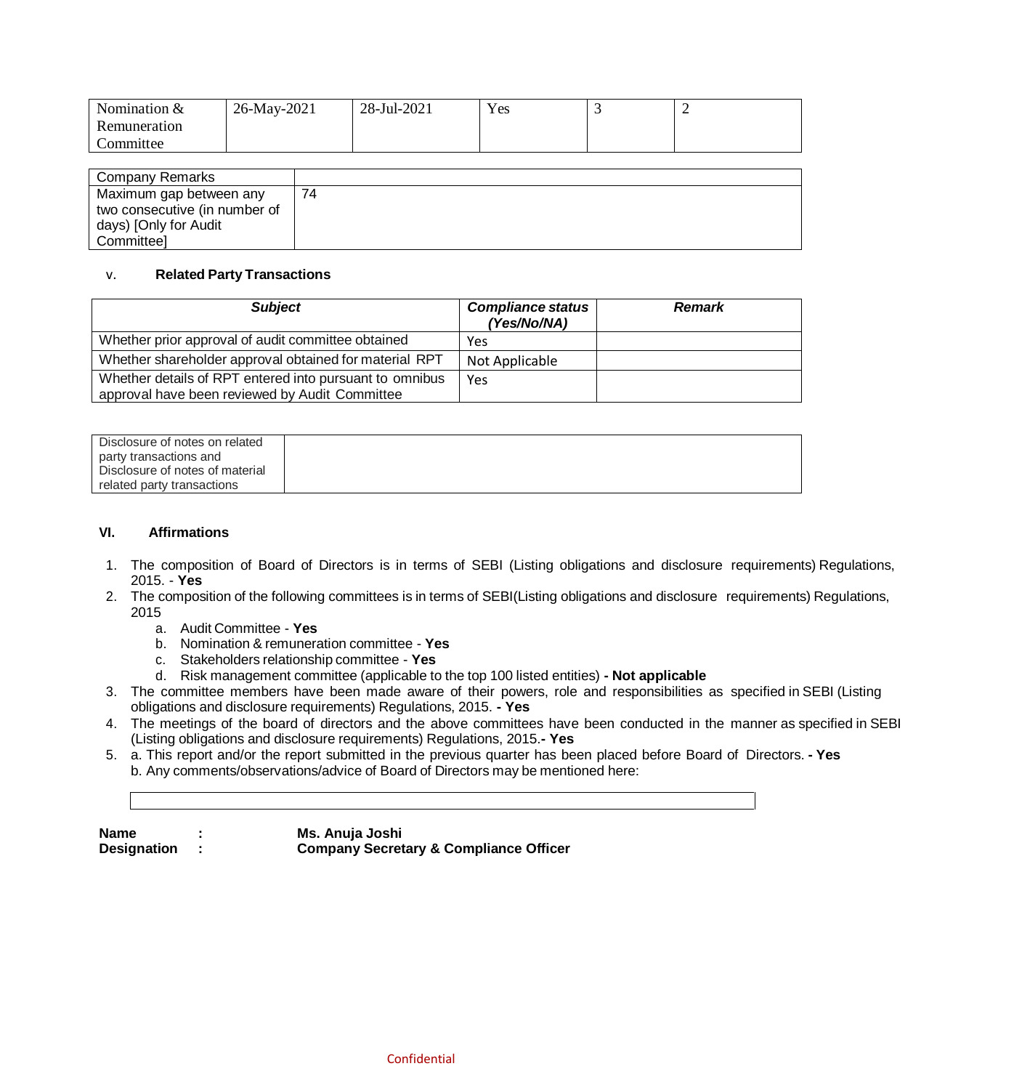| Nomination $&$ | 26-May-2021 | 28-Jul-2021 | Yes |  |
|----------------|-------------|-------------|-----|--|
| Remuneration   |             |             |     |  |
| Committee      |             |             |     |  |

| Company Remarks               |    |
|-------------------------------|----|
| Maximum gap between any       | 74 |
| two consecutive (in number of |    |
| days) [Only for Audit         |    |
| Committeel                    |    |

#### v. **Related Party Transactions**

| <b>Subject</b>                                                                                            | <b>Compliance status</b><br>(Yes/No/NA) | <b>Remark</b> |
|-----------------------------------------------------------------------------------------------------------|-----------------------------------------|---------------|
| Whether prior approval of audit committee obtained                                                        | Yes                                     |               |
| Whether shareholder approval obtained for material RPT                                                    | Not Applicable                          |               |
| Whether details of RPT entered into pursuant to omnibus<br>approval have been reviewed by Audit Committee | Yes                                     |               |

| Disclosure of notes on related  |  |
|---------------------------------|--|
| party transactions and          |  |
| Disclosure of notes of material |  |
| related party transactions      |  |

### **VI. Affirmations**

- 1. The composition of Board of Directors is in terms of SEBI (Listing obligations and disclosure requirements) Regulations, 2015. - **Yes**
- 2. The composition of the following committees is in terms of SEBI(Listing obligations and disclosure requirements) Regulations, 2015
	- a. Audit Committee **Yes**
	- b. Nomination & remuneration committee **Yes**
	- c. Stakeholders relationship committee **Yes**
	- d. Risk management committee (applicable to the top 100 listed entities) **- Not applicable**
- 3. The committee members have been made aware of their powers, role and responsibilities as specified in SEBI (Listing obligations and disclosure requirements) Regulations, 2015. **- Yes**
- 4. The meetings of the board of directors and the above committees have been conducted in the manner as specified in SEBI (Listing obligations and disclosure requirements) Regulations, 2015.**- Yes**
- 5. a. This report and/or the report submitted in the previous quarter has been placed before Board of Directors. **- Yes** b. Any comments/observations/advice of Board of Directors may be mentioned here:

| <b>Name</b> |  |  | Ms. Anuja Joshi |
|-------------|--|--|-----------------|
|-------------|--|--|-----------------|

**Designation : Company Secretary & Compliance Officer**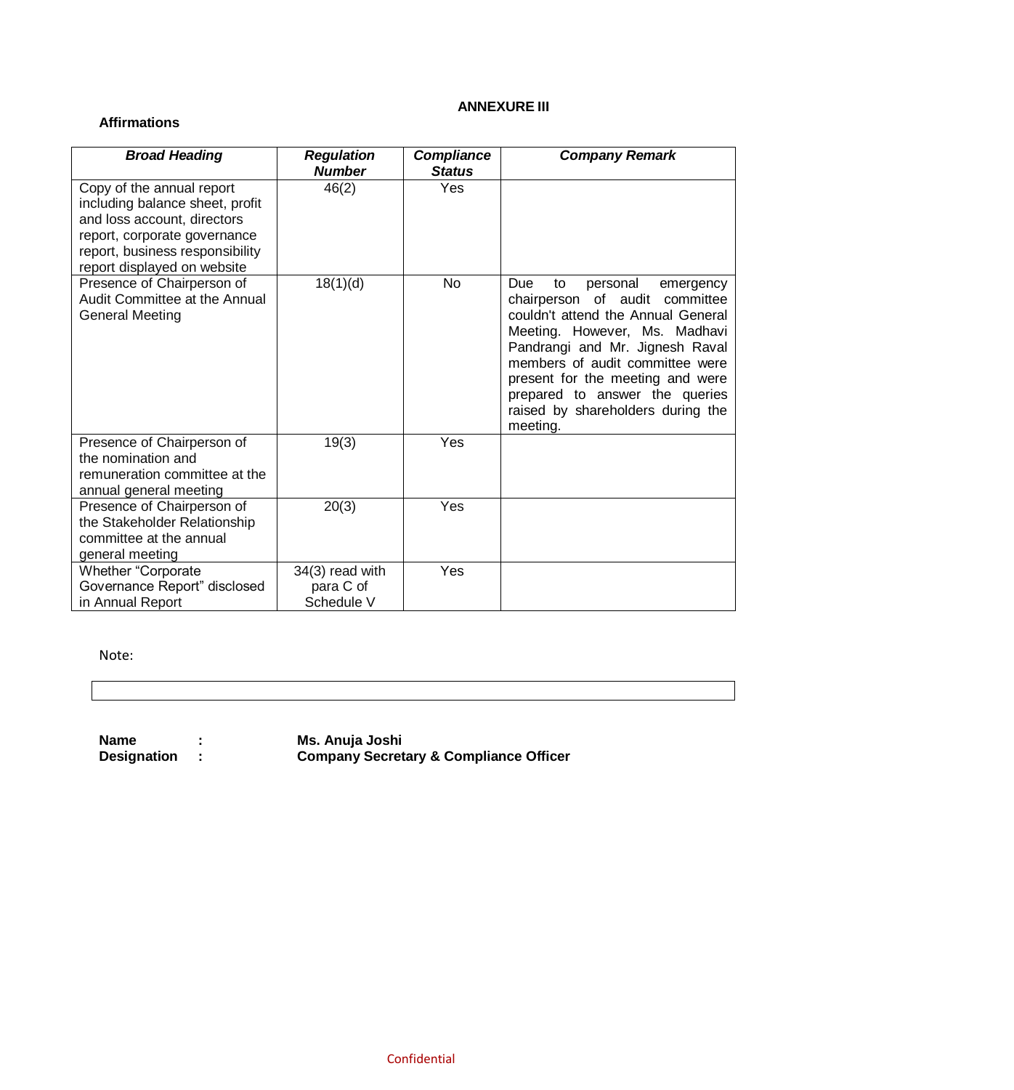### **ANNEXURE III**

## **Affirmations**

| <b>Broad Heading</b>                                                                                                                                                                          | <b>Regulation</b><br><b>Number</b>         | <b>Compliance</b><br><b>Status</b> | <b>Company Remark</b>                                                                                                                                                                                                                                                                                                                    |
|-----------------------------------------------------------------------------------------------------------------------------------------------------------------------------------------------|--------------------------------------------|------------------------------------|------------------------------------------------------------------------------------------------------------------------------------------------------------------------------------------------------------------------------------------------------------------------------------------------------------------------------------------|
| Copy of the annual report<br>including balance sheet, profit<br>and loss account, directors<br>report, corporate governance<br>report, business responsibility<br>report displayed on website | 46(2)                                      | <b>Yes</b>                         |                                                                                                                                                                                                                                                                                                                                          |
| Presence of Chairperson of<br>Audit Committee at the Annual<br><b>General Meeting</b>                                                                                                         | 18(1)(d)                                   | <b>No</b>                          | Due<br>personal<br>to<br>emergency<br>chairperson of audit committee<br>couldn't attend the Annual General<br>Meeting. However, Ms. Madhavi<br>Pandrangi and Mr. Jignesh Raval<br>members of audit committee were<br>present for the meeting and were<br>prepared to answer the queries<br>raised by shareholders during the<br>meeting. |
| Presence of Chairperson of<br>the nomination and<br>remuneration committee at the<br>annual general meeting                                                                                   | 19(3)                                      | Yes                                |                                                                                                                                                                                                                                                                                                                                          |
| Presence of Chairperson of<br>the Stakeholder Relationship<br>committee at the annual<br>general meeting                                                                                      | 20(3)                                      | Yes                                |                                                                                                                                                                                                                                                                                                                                          |
| <b>Whether "Corporate</b><br>Governance Report" disclosed<br>in Annual Report                                                                                                                 | 34(3) read with<br>para C of<br>Schedule V | Yes                                |                                                                                                                                                                                                                                                                                                                                          |

Note:

**Name : Ms. Anuja Joshi**

**Designation : Company Secretary & Compliance Officer**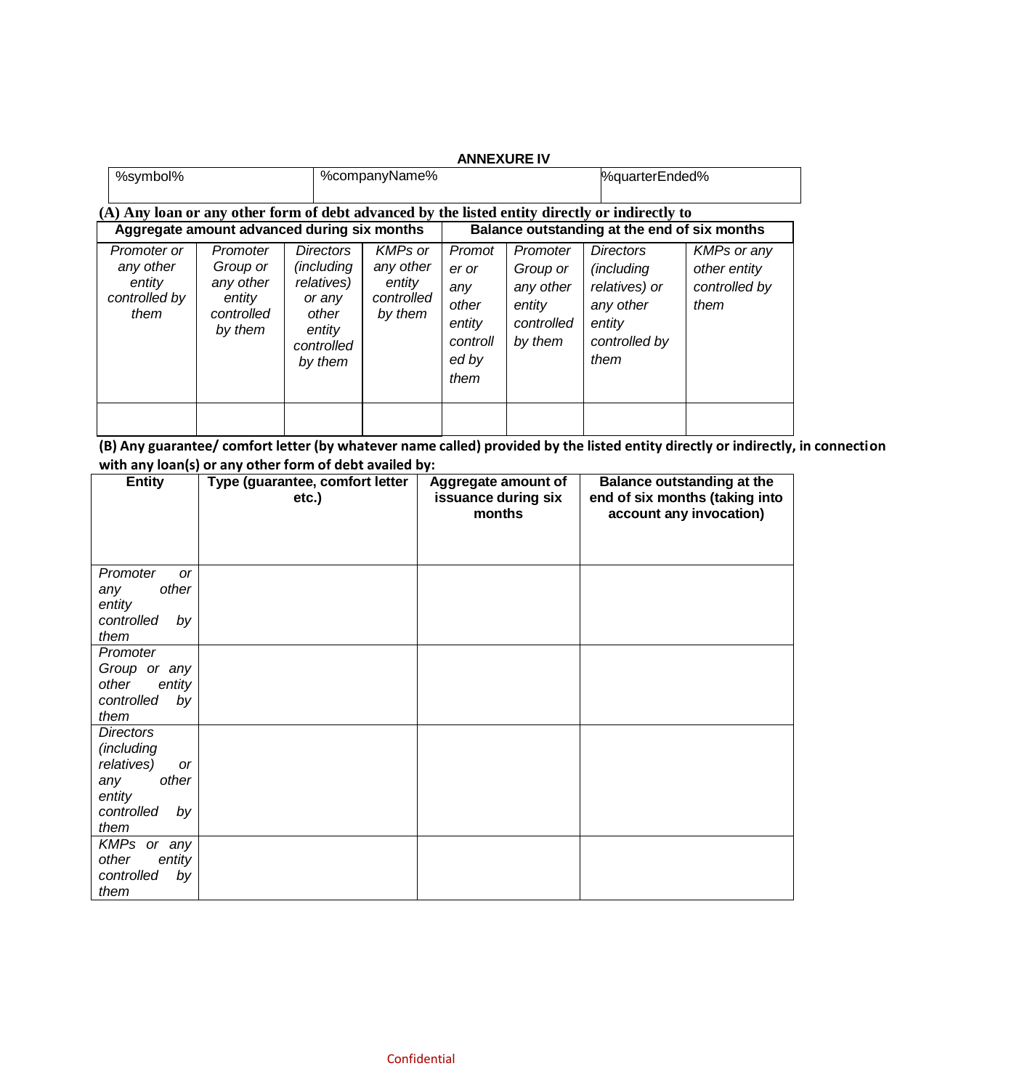|                                                             |                                                                                                |                                                                                                           |                                                                | <b>ANNEXURE IV</b>                                                     |                                                                      |                                                                                                        |                                                             |
|-------------------------------------------------------------|------------------------------------------------------------------------------------------------|-----------------------------------------------------------------------------------------------------------|----------------------------------------------------------------|------------------------------------------------------------------------|----------------------------------------------------------------------|--------------------------------------------------------------------------------------------------------|-------------------------------------------------------------|
| %symbol%                                                    |                                                                                                |                                                                                                           | %companyName%                                                  |                                                                        |                                                                      | %quarterEnded%                                                                                         |                                                             |
|                                                             | (A) Any loan or any other form of debt advanced by the listed entity directly or indirectly to |                                                                                                           |                                                                |                                                                        |                                                                      |                                                                                                        |                                                             |
|                                                             | Aggregate amount advanced during six months                                                    |                                                                                                           |                                                                |                                                                        |                                                                      | Balance outstanding at the end of six months                                                           |                                                             |
| Promoter or<br>any other<br>entity<br>controlled by<br>them | Promoter<br>Group or<br>any other<br>entity<br>controlled<br>by them                           | <b>Directors</b><br><i>(including</i><br>relatives)<br>or any<br>other<br>entity<br>controlled<br>by them | <b>KMPs or</b><br>any other<br>entity<br>controlled<br>by them | Promot<br>er or<br>any<br>other<br>entity<br>controll<br>ed by<br>them | Promoter<br>Group or<br>any other<br>entity<br>controlled<br>by them | <b>Directors</b><br><i>(including</i><br>relatives) or<br>any other<br>entity<br>controlled by<br>them | <b>KMPs or any</b><br>other entity<br>controlled by<br>them |
|                                                             |                                                                                                |                                                                                                           |                                                                |                                                                        |                                                                      |                                                                                                        |                                                             |

**(B) Any guarantee/ comfort letter (by whatever name called) provided by the listed entity directly or indirectly, in connection with any loan(s) or any other form of debt availed by:**

| , ,  ,<br><b>Entity</b> | Type (guarantee, comfort letter |                                                      |                                                                                                |
|-------------------------|---------------------------------|------------------------------------------------------|------------------------------------------------------------------------------------------------|
|                         | etc.)                           | Aggregate amount of<br>issuance during six<br>months | <b>Balance outstanding at the</b><br>end of six months (taking into<br>account any invocation) |
|                         |                                 |                                                      |                                                                                                |
| Promoter<br><b>or</b>   |                                 |                                                      |                                                                                                |
| other<br>any            |                                 |                                                      |                                                                                                |
| entity                  |                                 |                                                      |                                                                                                |
| controlled<br>by        |                                 |                                                      |                                                                                                |
| them                    |                                 |                                                      |                                                                                                |
| Promoter                |                                 |                                                      |                                                                                                |
| Group or any            |                                 |                                                      |                                                                                                |
| other<br>entity         |                                 |                                                      |                                                                                                |
| controlled<br>by        |                                 |                                                      |                                                                                                |
| them                    |                                 |                                                      |                                                                                                |
| <b>Directors</b>        |                                 |                                                      |                                                                                                |
| (including              |                                 |                                                      |                                                                                                |
| relatives)<br>or        |                                 |                                                      |                                                                                                |
| other<br>any            |                                 |                                                      |                                                                                                |
| entity                  |                                 |                                                      |                                                                                                |
| controlled<br>by        |                                 |                                                      |                                                                                                |
| them                    |                                 |                                                      |                                                                                                |
| KMPs or any             |                                 |                                                      |                                                                                                |
| other<br>entity         |                                 |                                                      |                                                                                                |
| controlled<br>by        |                                 |                                                      |                                                                                                |
| them                    |                                 |                                                      |                                                                                                |